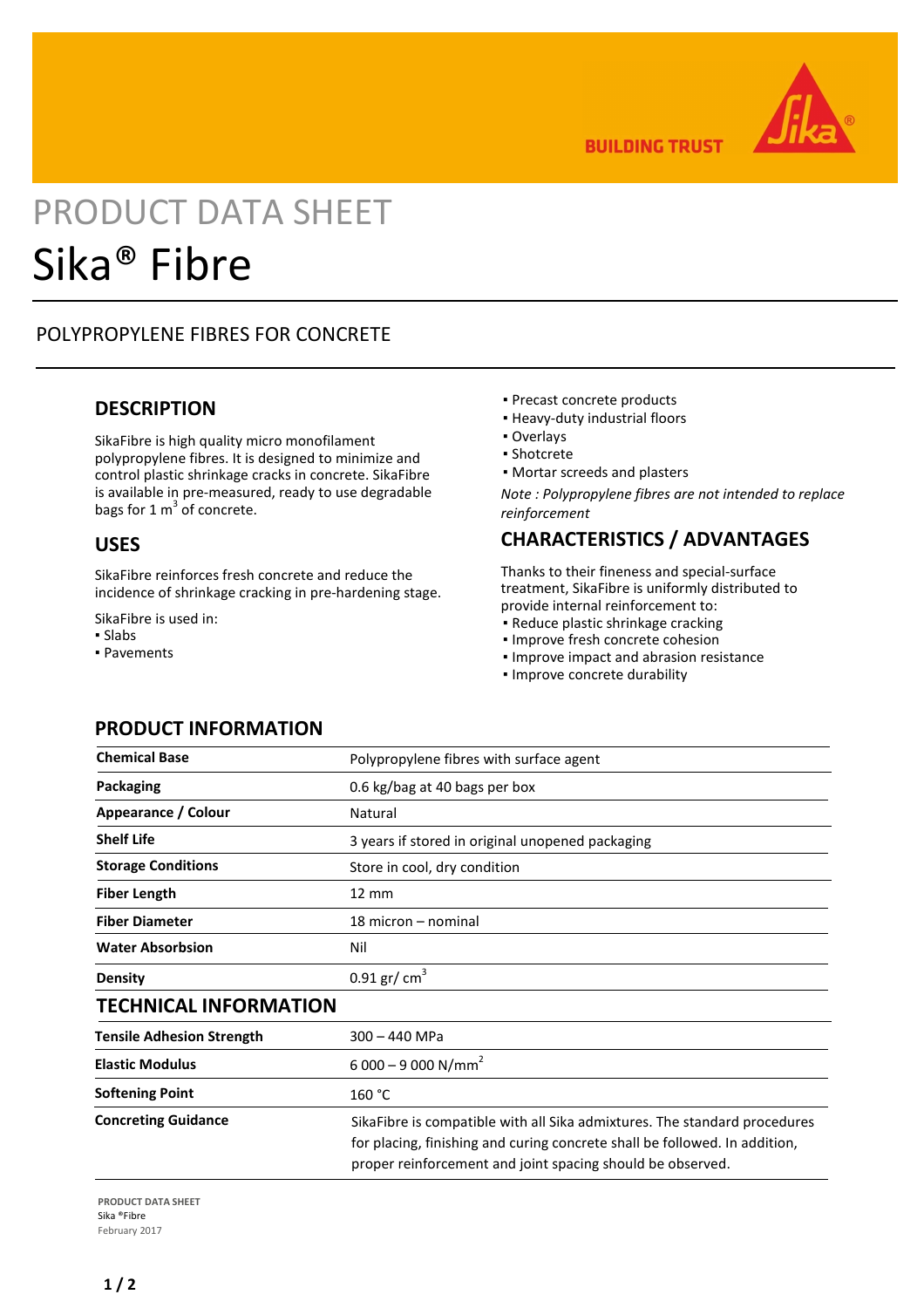

**BUILDING TRUST** 

# PRODUCT DATA SHEET Sika® Fibre

# POLYPROPYLENE FIBRES FOR CONCRETE

#### **DESCRIPTION**

SikaFibre is high quality micro monofilament polypropylene fibres. It is designed to minimize and control plastic shrinkage cracks in concrete. SikaFibre is available in pre-measured, ready to use degradable bags for 1  $m^3$  of concrete.

#### **USES**

SikaFibre reinforces fresh concrete and reduce the incidence of shrinkage cracking in pre-hardening stage.

SikaFibre is used in:

- Slabs
- Pavements
- Precast concrete products
- Heavy-duty industrial floors
- Overlays
- Shotcrete
- Mortar screeds and plasters

*Note : Polypropylene fibres are not intended to replace reinforcement*

#### **CHARACTERISTICS / ADVANTAGES**

Thanks to their fineness and special-surface treatment, SikaFibre is uniformly distributed to provide internal reinforcement to:

- Reduce plastic shrinkage cracking
- Improve fresh concrete cohesion
- Improve impact and abrasion resistance
- Improve concrete durability

| <b>Chemical Base</b>             | Polypropylene fibres with surface agent                                                                                                                                                                               |
|----------------------------------|-----------------------------------------------------------------------------------------------------------------------------------------------------------------------------------------------------------------------|
| Packaging                        | 0.6 kg/bag at 40 bags per box                                                                                                                                                                                         |
| Appearance / Colour              | Natural                                                                                                                                                                                                               |
| <b>Shelf Life</b>                | 3 years if stored in original unopened packaging                                                                                                                                                                      |
| <b>Storage Conditions</b>        | Store in cool, dry condition                                                                                                                                                                                          |
| <b>Fiber Length</b>              | $12 \, \text{mm}$                                                                                                                                                                                                     |
| <b>Fiber Diameter</b>            | 18 micron – nominal                                                                                                                                                                                                   |
| <b>Water Absorbsion</b>          | Nil                                                                                                                                                                                                                   |
| <b>Density</b>                   | $0.91$ gr/ cm <sup>3</sup>                                                                                                                                                                                            |
| <b>TECHNICAL INFORMATION</b>     |                                                                                                                                                                                                                       |
| <b>Tensile Adhesion Strength</b> | 300 - 440 MPa                                                                                                                                                                                                         |
| <b>Elastic Modulus</b>           | $6000 - 9000 N/mm2$                                                                                                                                                                                                   |
| <b>Softening Point</b>           | 160 °C                                                                                                                                                                                                                |
| <b>Concreting Guidance</b>       | SikaFibre is compatible with all Sika admixtures. The standard procedures<br>for placing, finishing and curing concrete shall be followed. In addition,<br>proper reinforcement and joint spacing should be observed. |

#### **PRODUCT INFORMATION**

**PRODUCT DATA SHEET** Sika ®Fibre February 2017